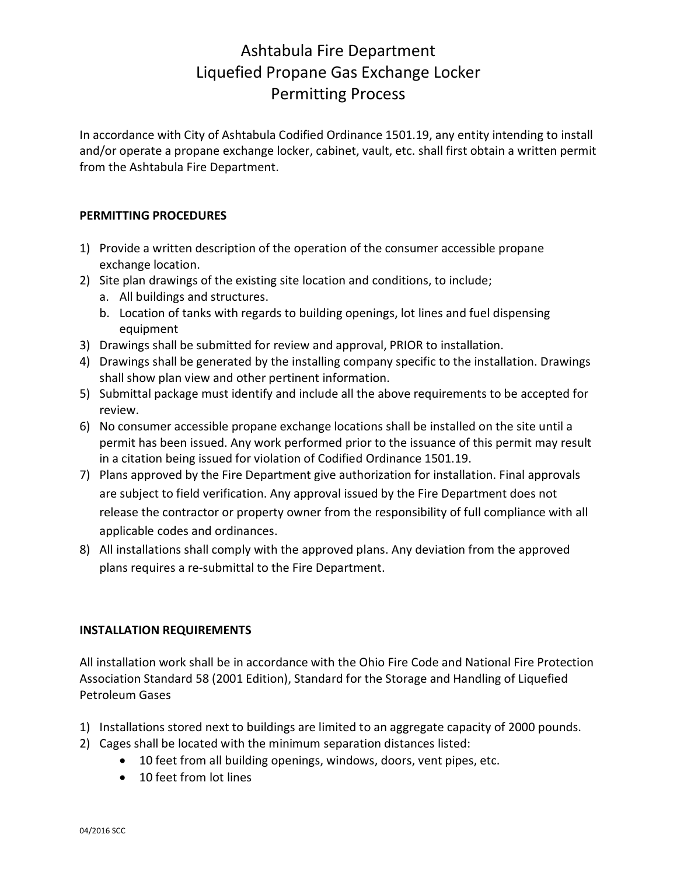## Ashtabula Fire Department Liquefied Propane Gas Exchange Locker Permitting Process

In accordance with City of Ashtabula Codified Ordinance 1501.19, any entity intending to install and/or operate a propane exchange locker, cabinet, vault, etc. shall first obtain a written permit from the Ashtabula Fire Department.

## **PERMITTING PROCEDURES**

- 1) Provide a written description of the operation of the consumer accessible propane exchange location.
- 2) Site plan drawings of the existing site location and conditions, to include;
	- a. All buildings and structures.
	- b. Location of tanks with regards to building openings, lot lines and fuel dispensing equipment
- 3) Drawings shall be submitted for review and approval, PRIOR to installation.
- 4) Drawings shall be generated by the installing company specific to the installation. Drawings shall show plan view and other pertinent information.
- 5) Submittal package must identify and include all the above requirements to be accepted for review.
- 6) No consumer accessible propane exchange locations shall be installed on the site until a permit has been issued. Any work performed prior to the issuance of this permit may result in a citation being issued for violation of Codified Ordinance 1501.19.
- 7) Plans approved by the Fire Department give authorization for installation. Final approvals are subject to field verification. Any approval issued by the Fire Department does not release the contractor or property owner from the responsibility of full compliance with all applicable codes and ordinances.
- 8) All installations shall comply with the approved plans. Any deviation from the approved plans requires a re‐submittal to the Fire Department.

## **INSTALLATION REQUIREMENTS**

All installation work shall be in accordance with the Ohio Fire Code and National Fire Protection Association Standard 58 (2001 Edition), Standard for the Storage and Handling of Liquefied Petroleum Gases

- 1) Installations stored next to buildings are limited to an aggregate capacity of 2000 pounds.
- 2) Cages shall be located with the minimum separation distances listed:
	- · 10 feet from all building openings, windows, doors, vent pipes, etc.
	- 10 feet from lot lines